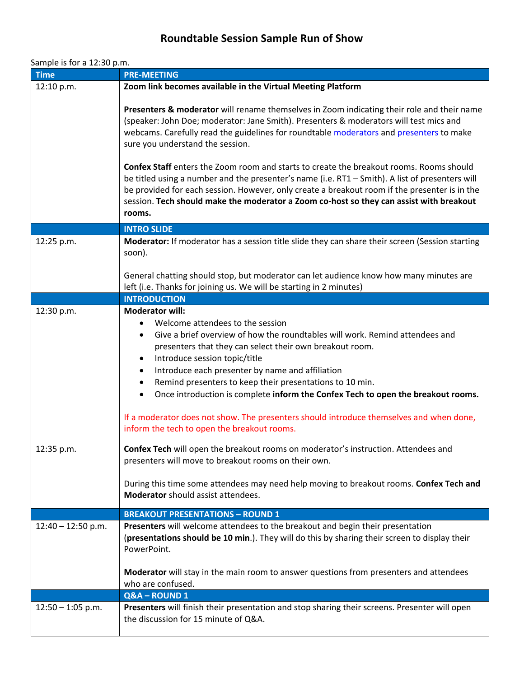## **Roundtable Session Sample Run of Show**

## Sample is for a 12:30 p.m.

| <b>Time</b>              | <b>PRE-MEETING</b>                                                                                                                                                                                                                                                                                                                                                                                                                                                                                                                                                                                                                                                                                                                                                                                                                                                                                                                                       |
|--------------------------|----------------------------------------------------------------------------------------------------------------------------------------------------------------------------------------------------------------------------------------------------------------------------------------------------------------------------------------------------------------------------------------------------------------------------------------------------------------------------------------------------------------------------------------------------------------------------------------------------------------------------------------------------------------------------------------------------------------------------------------------------------------------------------------------------------------------------------------------------------------------------------------------------------------------------------------------------------|
| 12:10 p.m.               | Zoom link becomes available in the Virtual Meeting Platform                                                                                                                                                                                                                                                                                                                                                                                                                                                                                                                                                                                                                                                                                                                                                                                                                                                                                              |
|                          | Presenters & moderator will rename themselves in Zoom indicating their role and their name<br>(speaker: John Doe; moderator: Jane Smith). Presenters & moderators will test mics and<br>webcams. Carefully read the guidelines for roundtable moderators and presenters to make<br>sure you understand the session.<br>Confex Staff enters the Zoom room and starts to create the breakout rooms. Rooms should<br>be titled using a number and the presenter's name (i.e. RT1 - Smith). A list of presenters will<br>be provided for each session. However, only create a breakout room if the presenter is in the<br>session. Tech should make the moderator a Zoom co-host so they can assist with breakout<br>rooms.                                                                                                                                                                                                                                  |
|                          | <b>INTRO SLIDE</b>                                                                                                                                                                                                                                                                                                                                                                                                                                                                                                                                                                                                                                                                                                                                                                                                                                                                                                                                       |
| 12:25 p.m.               | Moderator: If moderator has a session title slide they can share their screen (Session starting<br>soon).<br>General chatting should stop, but moderator can let audience know how many minutes are<br>left (i.e. Thanks for joining us. We will be starting in 2 minutes)                                                                                                                                                                                                                                                                                                                                                                                                                                                                                                                                                                                                                                                                               |
|                          | <b>INTRODUCTION</b>                                                                                                                                                                                                                                                                                                                                                                                                                                                                                                                                                                                                                                                                                                                                                                                                                                                                                                                                      |
| 12:30 p.m.<br>12:35 p.m. | <b>Moderator will:</b><br>Welcome attendees to the session<br>$\bullet$<br>Give a brief overview of how the roundtables will work. Remind attendees and<br>٠<br>presenters that they can select their own breakout room.<br>Introduce session topic/title<br>$\bullet$<br>Introduce each presenter by name and affiliation<br>$\bullet$<br>Remind presenters to keep their presentations to 10 min.<br>$\bullet$<br>Once introduction is complete inform the Confex Tech to open the breakout rooms.<br>$\bullet$<br>If a moderator does not show. The presenters should introduce themselves and when done,<br>inform the tech to open the breakout rooms.<br><b>Confex Tech</b> will open the breakout rooms on moderator's instruction. Attendees and<br>presenters will move to breakout rooms on their own.<br>During this time some attendees may need help moving to breakout rooms. Confex Tech and<br><b>Moderator</b> should assist attendees. |
|                          | <b>BREAKOUT PRESENTATIONS - ROUND 1</b>                                                                                                                                                                                                                                                                                                                                                                                                                                                                                                                                                                                                                                                                                                                                                                                                                                                                                                                  |
| $12:40 - 12:50$ p.m.     | Presenters will welcome attendees to the breakout and begin their presentation<br>(presentations should be 10 min.). They will do this by sharing their screen to display their<br>PowerPoint.<br>Moderator will stay in the main room to answer questions from presenters and attendees<br>who are confused.                                                                                                                                                                                                                                                                                                                                                                                                                                                                                                                                                                                                                                            |
|                          | Q&A-ROUND1                                                                                                                                                                                                                                                                                                                                                                                                                                                                                                                                                                                                                                                                                                                                                                                                                                                                                                                                               |
| $12:50 - 1:05$ p.m.      | Presenters will finish their presentation and stop sharing their screens. Presenter will open<br>the discussion for 15 minute of Q&A.                                                                                                                                                                                                                                                                                                                                                                                                                                                                                                                                                                                                                                                                                                                                                                                                                    |